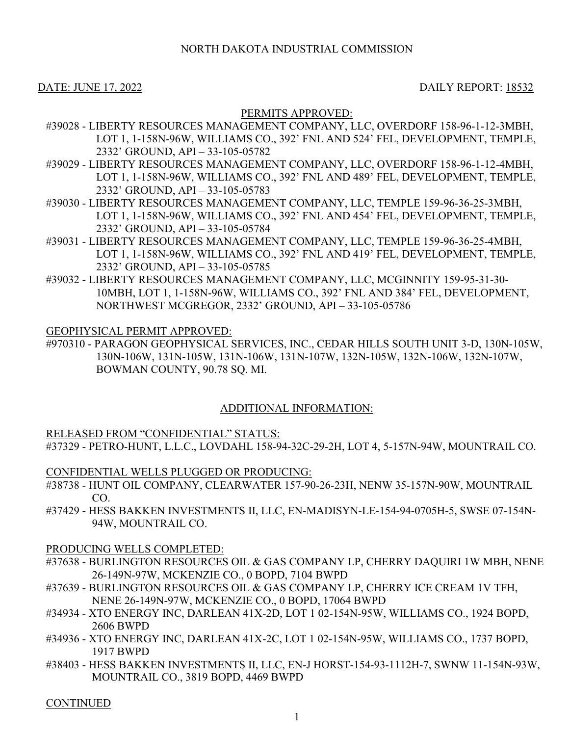### DATE: JUNE 17, 2022 DAILY REPORT: 18532

## PERMITS APPROVED:

- #39028 LIBERTY RESOURCES MANAGEMENT COMPANY, LLC, OVERDORF 158-96-1-12-3MBH, LOT 1, 1-158N-96W, WILLIAMS CO., 392' FNL AND 524' FEL, DEVELOPMENT, TEMPLE, 2332' GROUND, API – 33-105-05782
- #39029 LIBERTY RESOURCES MANAGEMENT COMPANY, LLC, OVERDORF 158-96-1-12-4MBH, LOT 1, 1-158N-96W, WILLIAMS CO., 392' FNL AND 489' FEL, DEVELOPMENT, TEMPLE, 2332' GROUND, API – 33-105-05783
- #39030 LIBERTY RESOURCES MANAGEMENT COMPANY, LLC, TEMPLE 159-96-36-25-3MBH, LOT 1, 1-158N-96W, WILLIAMS CO., 392' FNL AND 454' FEL, DEVELOPMENT, TEMPLE, 2332' GROUND, API – 33-105-05784
- #39031 LIBERTY RESOURCES MANAGEMENT COMPANY, LLC, TEMPLE 159-96-36-25-4MBH, LOT 1, 1-158N-96W, WILLIAMS CO., 392' FNL AND 419' FEL, DEVELOPMENT, TEMPLE, 2332' GROUND, API – 33-105-05785
- #39032 LIBERTY RESOURCES MANAGEMENT COMPANY, LLC, MCGINNITY 159-95-31-30- 10MBH, LOT 1, 1-158N-96W, WILLIAMS CO., 392' FNL AND 384' FEL, DEVELOPMENT, NORTHWEST MCGREGOR, 2332' GROUND, API – 33-105-05786

### GEOPHYSICAL PERMIT APPROVED:

#970310 - PARAGON GEOPHYSICAL SERVICES, INC., CEDAR HILLS SOUTH UNIT 3-D, 130N-105W, 130N-106W, 131N-105W, 131N-106W, 131N-107W, 132N-105W, 132N-106W, 132N-107W, BOWMAN COUNTY, 90.78 SQ. MI.

### ADDITIONAL INFORMATION:

### RELEASED FROM "CONFIDENTIAL" STATUS:

#37329 - PETRO-HUNT, L.L.C., LOVDAHL 158-94-32C-29-2H, LOT 4, 5-157N-94W, MOUNTRAIL CO.

### CONFIDENTIAL WELLS PLUGGED OR PRODUCING:

- #38738 HUNT OIL COMPANY, CLEARWATER 157-90-26-23H, NENW 35-157N-90W, MOUNTRAIL CO.
- #37429 HESS BAKKEN INVESTMENTS II, LLC, EN-MADISYN-LE-154-94-0705H-5, SWSE 07-154N-94W, MOUNTRAIL CO.

#### PRODUCING WELLS COMPLETED:

- #37638 BURLINGTON RESOURCES OIL & GAS COMPANY LP, CHERRY DAQUIRI 1W MBH, NENE 26-149N-97W, MCKENZIE CO., 0 BOPD, 7104 BWPD
- #37639 BURLINGTON RESOURCES OIL & GAS COMPANY LP, CHERRY ICE CREAM 1V TFH, NENE 26-149N-97W, MCKENZIE CO., 0 BOPD, 17064 BWPD
- #34934 XTO ENERGY INC, DARLEAN 41X-2D, LOT 1 02-154N-95W, WILLIAMS CO., 1924 BOPD, 2606 BWPD
- #34936 XTO ENERGY INC, DARLEAN 41X-2C, LOT 1 02-154N-95W, WILLIAMS CO., 1737 BOPD, 1917 BWPD
- #38403 HESS BAKKEN INVESTMENTS II, LLC, EN-J HORST-154-93-1112H-7, SWNW 11-154N-93W, MOUNTRAIL CO., 3819 BOPD, 4469 BWPD

**CONTINUED**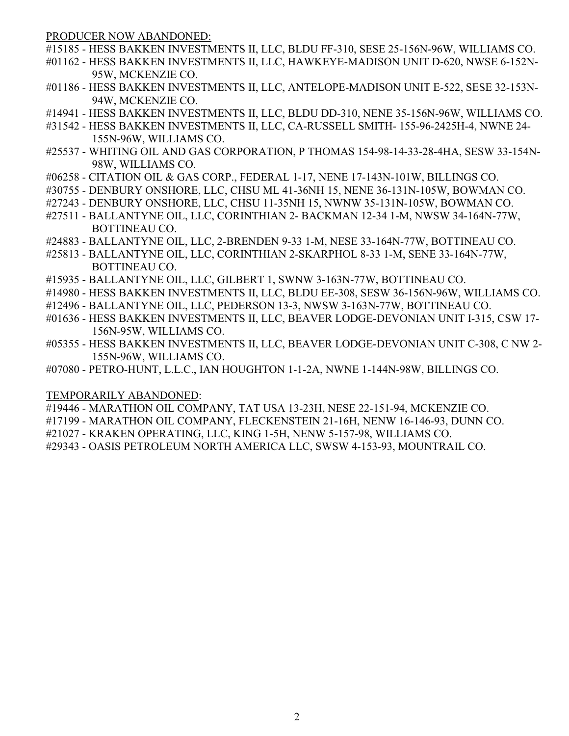PRODUCER NOW ABANDONED:

- #15185 HESS BAKKEN INVESTMENTS II, LLC, BLDU FF-310, SESE 25-156N-96W, WILLIAMS CO.
- #01162 HESS BAKKEN INVESTMENTS II, LLC, HAWKEYE-MADISON UNIT D-620, NWSE 6-152N-95W, MCKENZIE CO.
- #01186 HESS BAKKEN INVESTMENTS II, LLC, ANTELOPE-MADISON UNIT E-522, SESE 32-153N-94W, MCKENZIE CO.
- #14941 HESS BAKKEN INVESTMENTS II, LLC, BLDU DD-310, NENE 35-156N-96W, WILLIAMS CO.
- #31542 HESS BAKKEN INVESTMENTS II, LLC, CA-RUSSELL SMITH- 155-96-2425H-4, NWNE 24- 155N-96W, WILLIAMS CO.
- #25537 WHITING OIL AND GAS CORPORATION, P THOMAS 154-98-14-33-28-4HA, SESW 33-154N-98W, WILLIAMS CO.
- #06258 CITATION OIL & GAS CORP., FEDERAL 1-17, NENE 17-143N-101W, BILLINGS CO.
- #30755 DENBURY ONSHORE, LLC, CHSU ML 41-36NH 15, NENE 36-131N-105W, BOWMAN CO.
- #27243 DENBURY ONSHORE, LLC, CHSU 11-35NH 15, NWNW 35-131N-105W, BOWMAN CO.
- #27511 BALLANTYNE OIL, LLC, CORINTHIAN 2- BACKMAN 12-34 1-M, NWSW 34-164N-77W, BOTTINEAU CO.
- #24883 BALLANTYNE OIL, LLC, 2-BRENDEN 9-33 1-M, NESE 33-164N-77W, BOTTINEAU CO.
- #25813 BALLANTYNE OIL, LLC, CORINTHIAN 2-SKARPHOL 8-33 1-M, SENE 33-164N-77W, BOTTINEAU CO.
- #15935 BALLANTYNE OIL, LLC, GILBERT 1, SWNW 3-163N-77W, BOTTINEAU CO.
- #14980 HESS BAKKEN INVESTMENTS II, LLC, BLDU EE-308, SESW 36-156N-96W, WILLIAMS CO.
- #12496 BALLANTYNE OIL, LLC, PEDERSON 13-3, NWSW 3-163N-77W, BOTTINEAU CO.
- #01636 HESS BAKKEN INVESTMENTS II, LLC, BEAVER LODGE-DEVONIAN UNIT I-315, CSW 17- 156N-95W, WILLIAMS CO.
- #05355 HESS BAKKEN INVESTMENTS II, LLC, BEAVER LODGE-DEVONIAN UNIT C-308, C NW 2- 155N-96W, WILLIAMS CO.
- #07080 PETRO-HUNT, L.L.C., IAN HOUGHTON 1-1-2A, NWNE 1-144N-98W, BILLINGS CO.

### TEMPORARILY ABANDONED:

- #19446 MARATHON OIL COMPANY, TAT USA 13-23H, NESE 22-151-94, MCKENZIE CO.
- #17199 MARATHON OIL COMPANY, FLECKENSTEIN 21-16H, NENW 16-146-93, DUNN CO.
- #21027 KRAKEN OPERATING, LLC, KING 1-5H, NENW 5-157-98, WILLIAMS CO.
- #29343 OASIS PETROLEUM NORTH AMERICA LLC, SWSW 4-153-93, MOUNTRAIL CO.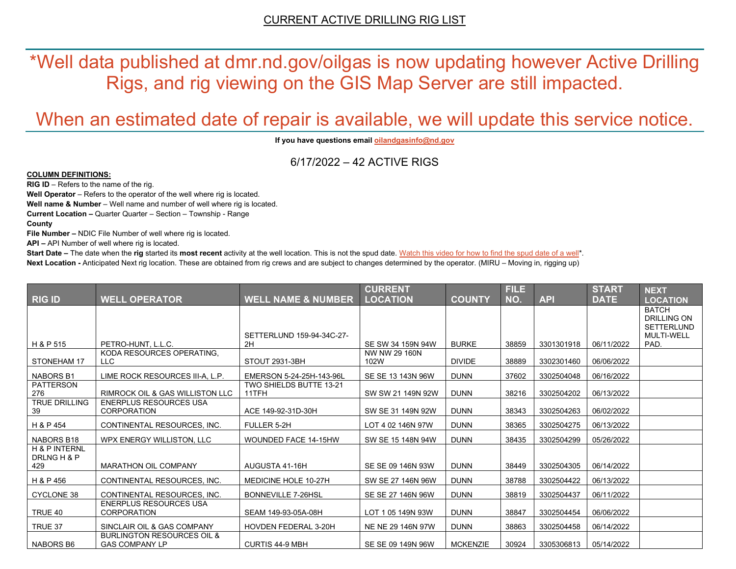\*Well data published at dmr.nd.gov/oilgas is now updating however Active Drilling Rigs, and rig viewing on the GIS Map Server are still impacted.

# When an estimated date of repair is available, we will update this service notice.

**If you have questions emai[l oilandgasinfo@nd.gov](mailto:oilandgasinfo@nd.gov)**

6/17/2022 – 42 ACTIVE RIGS

#### **COLUMN DEFINITIONS:**

**RIG ID** – Refers to the name of the rig.

**Well Operator** – Refers to the operator of the well where rig is located.

**Well name & Number** – Well name and number of well where rig is located.

**Current Location –** Quarter Quarter – Section – Township - Range

**County**

**File Number –** NDIC File Number of well where rig is located.

**API –** API Number of well where rig is located.

**Start Date** – The date when the **rig** started its most recent activity at the well location. This is not the spud date. Watch this video for how [to find the spud date of a well\\*](https://youtu.be/JjWwzuuMVpM). **Next Location -** Anticipated Next rig location. These are obtained from rig crews and are subject to changes determined by the operator. (MIRU – Moving in, rigging up)

|                                                |                                                                |                                  | <b>CURRENT</b>        |                 | <b>FILE</b> |            | <b>START</b> | <b>NEXT</b>                                                                  |
|------------------------------------------------|----------------------------------------------------------------|----------------------------------|-----------------------|-----------------|-------------|------------|--------------|------------------------------------------------------------------------------|
| <b>RIG ID</b>                                  | <b>WELL OPERATOR</b>                                           | <b>WELL NAME &amp; NUMBER</b>    | <b>LOCATION</b>       | <b>COUNTY</b>   | NO.         | <b>API</b> | <b>DATE</b>  | <b>LOCATION</b>                                                              |
|                                                |                                                                | SETTERLUND 159-94-34C-27-        |                       |                 |             |            |              | <b>BATCH</b><br><b>DRILLING ON</b><br><b>SETTERLUND</b><br><b>MULTI-WELL</b> |
| H & P 515                                      | PETRO-HUNT, L.L.C.                                             | 2H                               | SE SW 34 159N 94W     | <b>BURKE</b>    | 38859       | 3301301918 | 06/11/2022   | PAD.                                                                         |
| STONEHAM 17                                    | KODA RESOURCES OPERATING,<br>LLC.                              | STOUT 2931-3BH                   | NW NW 29 160N<br>102W | <b>DIVIDE</b>   | 38889       | 3302301460 | 06/06/2022   |                                                                              |
| <b>NABORS B1</b>                               | LIME ROCK RESOURCES III-A, L.P.                                | EMERSON 5-24-25H-143-96L         | SE SE 13 143N 96W     | <b>DUNN</b>     | 37602       | 3302504048 | 06/16/2022   |                                                                              |
| <b>PATTERSON</b><br>276                        | <b>RIMROCK OIL &amp; GAS WILLISTON LLC</b>                     | TWO SHIELDS BUTTE 13-21<br>11TFH | SW SW 21 149N 92W     | <b>DUNN</b>     | 38216       | 3302504202 | 06/13/2022   |                                                                              |
| <b>TRUE DRILLING</b><br>39                     | <b>ENERPLUS RESOURCES USA</b><br><b>CORPORATION</b>            | ACE 149-92-31D-30H               | SW SE 31 149N 92W     | <b>DUNN</b>     | 38343       | 3302504263 | 06/02/2022   |                                                                              |
| H & P 454                                      | CONTINENTAL RESOURCES, INC.                                    | FULLER 5-2H                      | LOT 4 02 146N 97W     | <b>DUNN</b>     | 38365       | 3302504275 | 06/13/2022   |                                                                              |
| NABORS B18                                     | WPX ENERGY WILLISTON, LLC                                      | WOUNDED FACE 14-15HW             | SW SE 15 148N 94W     | <b>DUNN</b>     | 38435       | 3302504299 | 05/26/2022   |                                                                              |
| <b>H &amp; P INTERNL</b><br>DRLNG H & P<br>429 | <b>MARATHON OIL COMPANY</b>                                    | AUGUSTA 41-16H                   | SE SE 09 146N 93W     | <b>DUNN</b>     | 38449       | 3302504305 | 06/14/2022   |                                                                              |
| H & P 456                                      | CONTINENTAL RESOURCES, INC.                                    | MEDICINE HOLE 10-27H             | SW SE 27 146N 96W     | <b>DUNN</b>     | 38788       | 3302504422 | 06/13/2022   |                                                                              |
| <b>CYCLONE 38</b>                              | CONTINENTAL RESOURCES. INC.                                    | <b>BONNEVILLE 7-26HSL</b>        | SE SE 27 146N 96W     | <b>DUNN</b>     | 38819       | 3302504437 | 06/11/2022   |                                                                              |
| TRUE 40                                        | <b>ENERPLUS RESOURCES USA</b><br><b>CORPORATION</b>            | SEAM 149-93-05A-08H              | LOT 1 05 149N 93W     | <b>DUNN</b>     | 38847       | 3302504454 | 06/06/2022   |                                                                              |
| TRUE 37                                        | SINCLAIR OIL & GAS COMPANY                                     | <b>HOVDEN FEDERAL 3-20H</b>      | NE NE 29 146N 97W     | <b>DUNN</b>     | 38863       | 3302504458 | 06/14/2022   |                                                                              |
| <b>NABORS B6</b>                               | <b>BURLINGTON RESOURCES OIL &amp;</b><br><b>GAS COMPANY LP</b> | <b>CURTIS 44-9 MBH</b>           | SE SE 09 149N 96W     | <b>MCKENZIE</b> | 30924       | 3305306813 | 05/14/2022   |                                                                              |